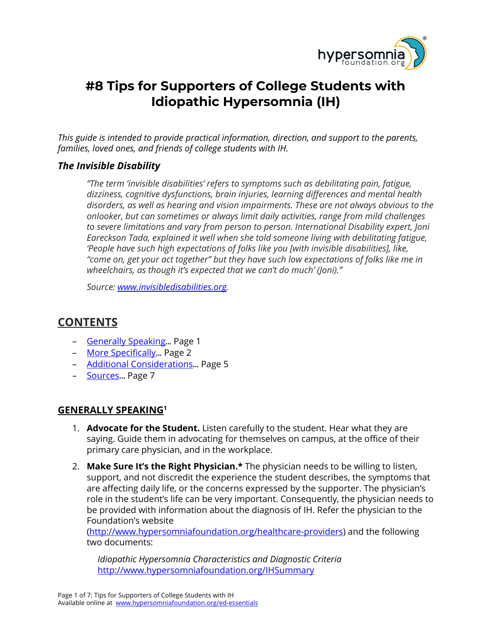

# **#8 Tips for Supporters of College Students with Idiopathic Hypersomnia (IH)**

*This guide is intended to provide practical information, direction, and support to the parents, families, loved ones, and friends of college students with IH.*

## *The Invisible Disability*

*"The term 'invisible disabilities' refers to symptoms such as debilitating pain, fatigue, dizziness, cognitive dysfunctions, brain injuries, learning differences and mental health disorders, as well as hearing and vision impairments. These are not always obvious to the onlooker, but can sometimes or always limit daily activities, range from mild challenges to severe limitations and vary from person to person. International Disability expert, Joni Eareckson Tada, explained it well when she told someone living with debilitating fatigue, 'People have such high expectations of folks like you [with invisible disabilities], like, "come on, get your act together" but they have such low expectations of folks like me in wheelchairs, as though it's expected that we can't do much' (Joni)."*

*Source: [www.invisibledisabilities.org.](http://www.invisibledisabilities.org/)*

# <span id="page-0-1"></span>**CONTENTS**

- [Generally](#page-0-0) Speaking... Page 1
- More [Specifically](#page-1-0)... Page 2
- Additional [Considerations](#page-4-0)... Page 5
- [Sources](#page-6-0)... Page 7

# <span id="page-0-0"></span>**GENERALLY SPEAKING<sup>1</sup>**

- 1. **Advocate for the Student.** Listen carefully to the student. Hear what they are saying. Guide them in advocating for themselves on campus, at the office of their primary care physician, and in the workplace.
- 2. **Make Sure It's the Right Physician.\*** The physician needs to be willing to listen, support, and not discredit the experience the student describes, the symptoms that are affecting daily life, or the concerns expressed by the supporter. The physician's role in the student's life can be very important. Consequently, the physician needs to be provided with information about the diagnosis of IH. Refer the physician to the Foundation's website

[\(http://www.hypersomniafoundation.org/healthcare-providers](http://www.hypersomniafoundation.org/healthcare-providers)) and the following two documents:

*Idiopathic Hypersomnia Characteristics and Diagnostic Criteria* <http://www.hypersomniafoundation.org/IHSummary>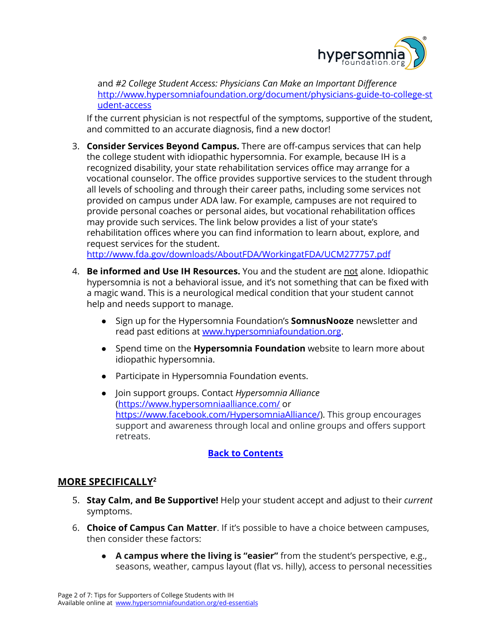

and *#2 College Student Access: Physicians Can Make an Important Difference* [http://www.hypersomniafoundation.org/document/physicians-guide-to-college-st](http://www.hypersomniafoundation.org/document/physicians-guide-to-college-student-access) [udent-access](http://www.hypersomniafoundation.org/document/physicians-guide-to-college-student-access)

If the current physician is not respectful of the symptoms, supportive of the student, and committed to an accurate diagnosis, find a new doctor!

3. **Consider Services Beyond Campus.** There are off-campus services that can help the college student with idiopathic hypersomnia. For example, because IH is a recognized disability, your state rehabilitation services office may arrange for a vocational counselor. The office provides supportive services to the student through all levels of schooling and through their career paths, including some services not provided on campus under ADA law. For example, campuses are not required to provide personal coaches or personal aides, but vocational rehabilitation offices may provide such services. The link below provides a list of your state's rehabilitation offices where you can find information to learn about, explore, and request services for the student.

<http://www.fda.gov/downloads/AboutFDA/WorkingatFDA/UCM277757.pdf>

- 4. **Be informed and Use IH Resources.** You and the student are not alone. Idiopathic hypersomnia is not a behavioral issue, and it's not something that can be fixed with a magic wand. This is a neurological medical condition that your student cannot help and needs support to manage.
	- Sign up for the Hypersomnia Foundation's **SomnusNooze** newsletter and read past editions at [www.hypersomniafoundation.org](http://www.hypersomniafoundation.org/).
	- Spend time on the **Hypersomnia Foundation** website to learn more about idiopathic hypersomnia.
	- Participate in Hypersomnia Foundation events.
	- Join support groups. Contact *Hypersomnia Alliance* [\(https://www.hypersomniaalliance.com/](https://www.hypersomniaalliance.com/) or <https://www.facebook.com/HypersomniaAlliance/>). This group encourages support and awareness through local and online groups and offers support retreats.

#### **Back to [Contents](#page-0-1)**

# <span id="page-1-0"></span>**MORE SPECIFICALLY<sup>2</sup>**

- 5. **Stay Calm, and Be Supportive!** Help your student accept and adjust to their *current* symptoms.
- 6. **Choice of Campus Can Matter**. If it's possible to have a choice between campuses, then consider these factors:
	- **A campus where the living is "easier"** from the student's perspective, e.g., seasons, weather, campus layout (flat vs. hilly), access to personal necessities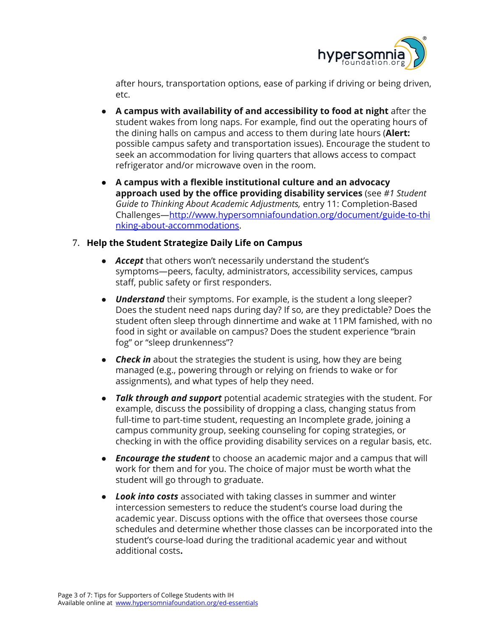

after hours, transportation options, ease of parking if driving or being driven, etc.

- **A campus with availability of and accessibility to food at night** after the student wakes from long naps. For example, find out the operating hours of the dining halls on campus and access to them during late hours (**Alert:** possible campus safety and transportation issues). Encourage the student to seek an accommodation for living quarters that allows access to compact refrigerator and/or microwave oven in the room.
- **A campus with a flexible institutional culture and an advocacy approach used by the office providing disability services** (see *#1 Student Guide to Thinking About Academic Adjustments,* entry 11: Completion-Based Challenges—[http://www.hypersomniafoundation.org/document/guide-to-thi](http://www.hypersomniafoundation.org/document/guide-to-thinking-about-accommodations) [nking-about-accommodations.](http://www.hypersomniafoundation.org/document/guide-to-thinking-about-accommodations)

#### 7. **Help the Student Strategize Daily Life on Campus**

- *Accept* that others won't necessarily understand the student's symptoms—peers, faculty, administrators, accessibility services, campus staff, public safety or first responders.
- **Understand** their symptoms. For example, is the student a long sleeper? Does the student need naps during day? If so, are they predictable? Does the student often sleep through dinnertime and wake at 11PM famished, with no food in sight or available on campus? Does the student experience "brain fog" or "sleep drunkenness"?
- *Check in* about the strategies the student is using, how they are being managed (e.g., powering through or relying on friends to wake or for assignments), and what types of help they need.
- *Talk through and support* potential academic strategies with the student. For example, discuss the possibility of dropping a class, changing status from full-time to part-time student, requesting an Incomplete grade, joining a campus community group, seeking counseling for coping strategies, or checking in with the office providing disability services on a regular basis, etc.
- *Encourage the student* to choose an academic major and a campus that will work for them and for you. The choice of major must be worth what the student will go through to graduate.
- *Look into costs* associated with taking classes in summer and winter intercession semesters to reduce the student's course load during the academic year. Discuss options with the office that oversees those course schedules and determine whether those classes can be incorporated into the student's course-load during the traditional academic year and without additional costs**.**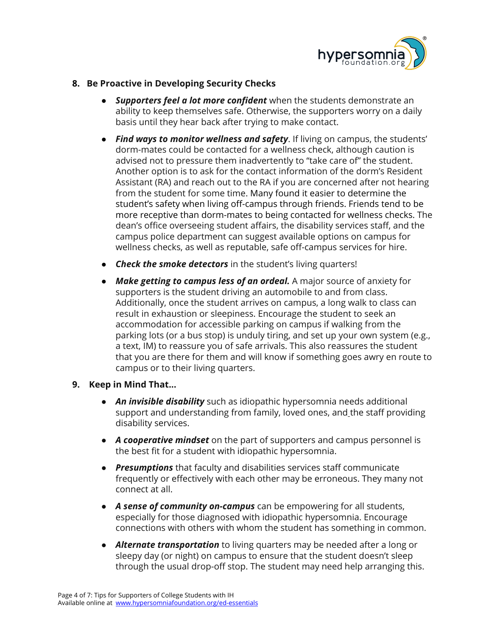

#### **8. Be Proactive in Developing Security Checks**

- **●** *Supporters feel a lot more confident* when the students demonstrate an ability to keep themselves safe. Otherwise, the supporters worry on a daily basis until they hear back after trying to make contact.
- **●** *Find ways to monitor wellness and safety*. If living on campus, the students' dorm-mates could be contacted for a wellness check, although caution is advised not to pressure them inadvertently to "take care of" the student. Another option is to ask for the contact information of the dorm's Resident Assistant (RA) and reach out to the RA if you are concerned after not hearing from the student for some time. Many found it easier to determine the student's safety when living off-campus through friends. Friends tend to be more receptive than dorm-mates to being contacted for wellness checks. The dean's office overseeing student affairs, the disability services staff, and the campus police department can suggest available options on campus for wellness checks, as well as reputable, safe off-campus services for hire.
- **●** *Check the smoke detectors* in the student's living quarters!
- **●** *Make getting to campus less of an ordeal.* A major source of anxiety for supporters is the student driving an automobile to and from class. Additionally, once the student arrives on campus, a long walk to class can result in exhaustion or sleepiness. Encourage the student to seek an accommodation for accessible parking on campus if walking from the parking lots (or a bus stop) is unduly tiring, and set up your own system (e.g., a text, IM) to reassure you of safe arrivals. This also reassures the student that you are there for them and will know if something goes awry en route to campus or to their living quarters.
- **9. Keep in Mind That...**
	- *An invisible disability* such as idiopathic hypersomnia needs additional support and understanding from family, loved ones, and the staff providing disability services.
	- *A cooperative mindset* on the part of supporters and campus personnel is the best fit for a student with idiopathic hypersomnia.
	- *Presumptions* that faculty and disabilities services staff communicate frequently or effectively with each other may be erroneous. They many not connect at all.
	- *A sense of community on-campus* can be empowering for all students, especially for those diagnosed with idiopathic hypersomnia. Encourage connections with others with whom the student has something in common.
	- *Alternate transportation* to living quarters may be needed after a long or sleepy day (or night) on campus to ensure that the student doesn't sleep through the usual drop-off stop. The student may need help arranging this.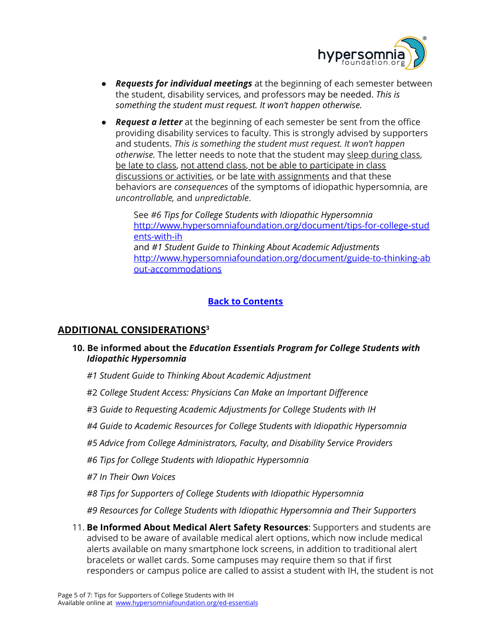

- *Requests for individual meetings* at the beginning of each semester between the student, disability services, and professors may be needed. *This is something the student must request. It won't happen otherwise.*
- *Request a letter* at the beginning of each semester be sent from the office providing disability services to faculty. This is strongly advised by supporters and students. *This is something the student must request. It won't happen otherwise.* The letter needs to note that the student may sleep during class, be late to class, not attend class, not be able to participate in class discussions or activities, or be late with assignments and that these behaviors are *consequences* of the symptoms of idiopathic hypersomnia, are *uncontrollable,* and *unpredictable*.

See *#6 Tips for College Students with Idiopathic Hypersomnia* [http://www.hypersomniafoundation.org/document/tips-for-college-stud](http://www.hypersomniafoundation.org/document/tips-for-college-students-with-ih) [ents-with-ih](http://www.hypersomniafoundation.org/document/tips-for-college-students-with-ih) and *#1 Student Guide to Thinking About Academic Adjustments* [http://www.hypersomniafoundation.org/document/guide-to-thinking-ab](http://www.hypersomniafoundation.org/document/guide-to-thinking-about-accommodations) [out-accommodations](http://www.hypersomniafoundation.org/document/guide-to-thinking-about-accommodations)

## **Back to [Contents](#page-0-1)**

#### <span id="page-4-0"></span>**ADDITIONAL CONSIDERATIONS<sup>3</sup>**

- **10. Be informed about the** *Education Essentials Program for College Students with Idiopathic Hypersomnia*
	- *#1 Student Guide to Thinking About Academic Adjustment*
	- #2 *College Student Access: Physicians Can Make an Important Difference*
	- #3 *Guide to Requesting Academic Adjustments for College Students with IH*
	- *#4 Guide to Academic Resources for College Students with Idiopathic Hypersomnia*
	- *#5 Advice from College Administrators, Faculty, and Disability Service Providers*
	- *#6 Tips for College Students with Idiopathic Hypersomnia*
	- *#7 In Their Own Voices*
	- *#8 Tips for Supporters of College Students with Idiopathic Hypersomnia*
	- *#9 Resources for College Students with Idiopathic Hypersomnia and Their Supporters*
- 11. **Be Informed About Medical Alert Safety Resources**: Supporters and students are advised to be aware of available medical alert options, which now include medical alerts available on many smartphone lock screens, in addition to traditional alert bracelets or wallet cards. Some campuses may require them so that if first responders or campus police are called to assist a student with IH, the student is not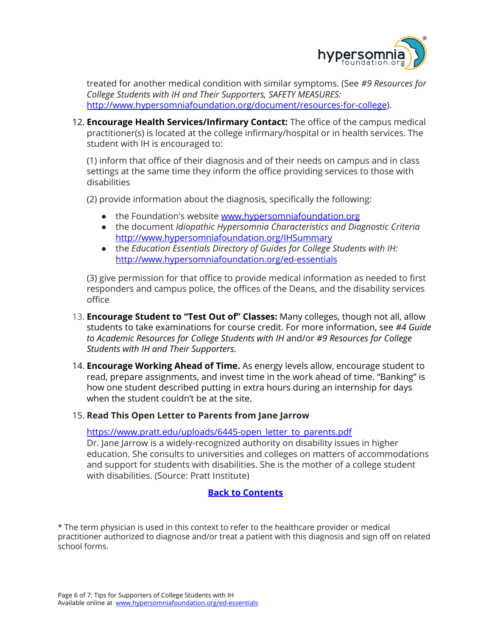

treated for another medical condition with similar symptoms. (See *#9 Resources for College Students with IH and Their Supporters, SAFETY MEASURES:* [http://www.hypersomniafoundation.org/document/resources-for-college\)](http://www.hypersomniafoundation.org/document/resources-for-college).

12. **Encourage Health Services/Infirmary Contact:** The office of the campus medical practitioner(s) is located at the college infirmary/hospital or in health services. The student with IH is encouraged to:

(1) inform that office of their diagnosis and of their needs on campus and in class settings at the same time they inform the office providing services to those with disabilities

(2) provide information about the diagnosis, specifically the following:

- the Foundation's website [www.hypersomniafoundation.org](http://www.hypersomniafoundation.org/)
- the document *Idiopathic Hypersomnia Characteristics and Diagnostic Criteria* <http://www.hypersomniafoundation.org/IHSummary>
- *●* the *Education Essentials Directory of Guides for College Students with IH:* <http://www.hypersomniafoundation.org/ed-essentials>

(3) give permission for that office to provide medical information as needed to first responders and campus police, the offices of the Deans, and the disability services office

- 13. **Encourage Student to "Test Out of" Classes:** Many colleges, though not all, allow students to take examinations for course credit. For more information, see *#4 Guide to Academic Resources for College Students with IH* and/or *#9 Resources for College Students with IH and Their Supporters.*
- 14. **Encourage Working Ahead of Time.** As energy levels allow, encourage student to read, prepare assignments, and invest time in the work ahead of time. "Banking" is how one student described putting in extra hours during an internship for days when the student couldn't be at the site.

#### 15. **Read This Open Letter to Parents from Jane Jarrow**

[https://www.pratt.edu/uploads/6445-open\\_letter\\_to\\_parents.pdf](https://www.pratt.edu/uploads/6445-open_letter_to_parents.pdf)

Dr. Jane Jarrow is a widely-recognized authority on disability issues in higher education. She consults to universities and colleges on matters of accommodations and support for students with disabilities. She is the mother of a college student with disabilities. (Source: Pratt Institute)

#### **Back to [Contents](#page-0-1)**

\* The term physician is used in this context to refer to the healthcare provider or medical practitioner authorized to diagnose and/or treat a patient with this diagnosis and sign off on related school forms.